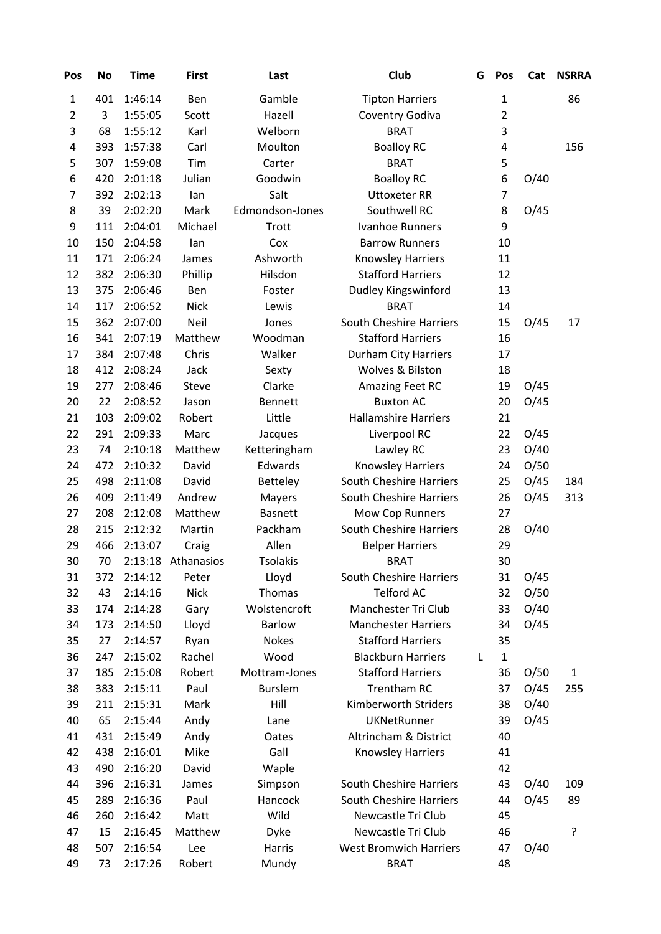| Pos            | <b>No</b> | <b>Time</b> | <b>First</b> | Last            | Club                           | G | Pos            | Cat  | <b>NSRRA</b> |
|----------------|-----------|-------------|--------------|-----------------|--------------------------------|---|----------------|------|--------------|
| 1              | 401       | 1:46:14     | Ben          | Gamble          | <b>Tipton Harriers</b>         |   | 1              |      | 86           |
| $\overline{2}$ | 3         | 1:55:05     | Scott        | Hazell          | Coventry Godiva                |   | 2              |      |              |
| 3              | 68        | 1:55:12     | Karl         | Welborn         | <b>BRAT</b>                    |   | 3              |      |              |
| 4              | 393       | 1:57:38     | Carl         | Moulton         | <b>Boalloy RC</b>              |   | 4              |      | 156          |
| 5              | 307       | 1:59:08     | Tim          | Carter          | <b>BRAT</b>                    |   | 5              |      |              |
| 6              | 420       | 2:01:18     | Julian       | Goodwin         | <b>Boalloy RC</b>              |   | 6              | O/40 |              |
| 7              | 392       | 2:02:13     | lan          | Salt            | <b>Uttoxeter RR</b>            |   | $\overline{7}$ |      |              |
| 8              | 39        | 2:02:20     | Mark         | Edmondson-Jones | Southwell RC                   |   | 8              | O/45 |              |
| 9              | 111       | 2:04:01     | Michael      | <b>Trott</b>    | Ivanhoe Runners                |   | 9              |      |              |
| 10             | 150       | 2:04:58     | lan          | Cox             | <b>Barrow Runners</b>          |   | 10             |      |              |
| 11             | 171       | 2:06:24     | James        | Ashworth        | Knowsley Harriers              |   | 11             |      |              |
| 12             | 382       | 2:06:30     | Phillip      | Hilsdon         | <b>Stafford Harriers</b>       |   | 12             |      |              |
| 13             | 375       | 2:06:46     | <b>Ben</b>   | Foster          | Dudley Kingswinford            |   | 13             |      |              |
| 14             | 117       | 2:06:52     | <b>Nick</b>  | Lewis           | <b>BRAT</b>                    |   | 14             |      |              |
| 15             | 362       | 2:07:00     | Neil         | Jones           | <b>South Cheshire Harriers</b> |   | 15             | O/45 | 17           |
| 16             | 341       | 2:07:19     | Matthew      | Woodman         | <b>Stafford Harriers</b>       |   | 16             |      |              |
| 17             | 384       | 2:07:48     | Chris        | Walker          | Durham City Harriers           |   | 17             |      |              |
| 18             | 412       | 2:08:24     | Jack         | Sexty           | Wolves & Bilston               |   | 18             |      |              |
| 19             | 277       | 2:08:46     | Steve        | Clarke          | Amazing Feet RC                |   | 19             | O/45 |              |
| 20             | 22        | 2:08:52     | Jason        | Bennett         | <b>Buxton AC</b>               |   | 20             | O/45 |              |
| 21             | 103       | 2:09:02     | Robert       | Little          | <b>Hallamshire Harriers</b>    |   | 21             |      |              |
| 22             | 291       | 2:09:33     | Marc         | Jacques         | Liverpool RC                   |   | 22             | O/45 |              |
| 23             | 74        | 2:10:18     | Matthew      | Ketteringham    | Lawley RC                      |   | 23             | O/40 |              |
| 24             | 472       | 2:10:32     | David        | Edwards         | <b>Knowsley Harriers</b>       |   | 24             | O/50 |              |
| 25             | 498       | 2:11:08     | David        | Betteley        | <b>South Cheshire Harriers</b> |   | 25             | O/45 | 184          |
| 26             | 409       | 2:11:49     | Andrew       | Mayers          | South Cheshire Harriers        |   | 26             | O/45 | 313          |
| 27             | 208       | 2:12:08     | Matthew      | <b>Basnett</b>  | Mow Cop Runners                |   | 27             |      |              |
| 28             | 215       | 2:12:32     | Martin       | Packham         | <b>South Cheshire Harriers</b> |   | 28             | O/40 |              |
| 29             | 466       | 2:13:07     | Craig        | Allen           | <b>Belper Harriers</b>         |   | 29             |      |              |
| 30             | 70        | 2:13:18     | Athanasios   | <b>Tsolakis</b> | <b>BRAT</b>                    |   | 30             |      |              |
| 31             | 372       | 2:14:12     | Peter        | Lloyd           | South Cheshire Harriers        |   | 31             | O/45 |              |
| 32             | 43        | 2:14:16     | <b>Nick</b>  | Thomas          | <b>Telford AC</b>              |   | 32             | O/50 |              |
| 33             | 174       | 2:14:28     | Gary         | Wolstencroft    | Manchester Tri Club            |   | 33             | O/40 |              |
| 34             | 173       | 2:14:50     | Lloyd        | <b>Barlow</b>   | <b>Manchester Harriers</b>     |   | 34             | O/45 |              |
| 35             | 27        | 2:14:57     | Ryan         | <b>Nokes</b>    | <b>Stafford Harriers</b>       |   | 35             |      |              |
| 36             | 247       | 2:15:02     | Rachel       | Wood            | <b>Blackburn Harriers</b>      | L | $\mathbf{1}$   |      |              |
| 37             | 185       | 2:15:08     | Robert       | Mottram-Jones   | <b>Stafford Harriers</b>       |   | 36             | O/50 | $\mathbf{1}$ |
| 38             | 383       | 2:15:11     | Paul         | <b>Burslem</b>  | <b>Trentham RC</b>             |   | 37             | O/45 | 255          |
| 39             | 211       | 2:15:31     | Mark         | Hill            | Kimberworth Striders           |   | 38             | O/40 |              |
| 40             | 65        | 2:15:44     | Andy         | Lane            | <b>UKNetRunner</b>             |   | 39             | O/45 |              |
| 41             | 431       | 2:15:49     | Andy         | Oates           | Altrincham & District          |   | 40             |      |              |
| 42             | 438       | 2:16:01     | Mike         | Gall            | Knowsley Harriers              |   | 41             |      |              |
| 43             | 490       | 2:16:20     | David        | Waple           |                                |   | 42             |      |              |
| 44             | 396       | 2:16:31     | James        | Simpson         | <b>South Cheshire Harriers</b> |   | 43             | O/40 | 109          |
| 45             | 289       | 2:16:36     | Paul         | Hancock         | <b>South Cheshire Harriers</b> |   | 44             | O/45 | 89           |
| 46             | 260       | 2:16:42     | Matt         | Wild            | Newcastle Tri Club             |   | 45             |      |              |
| 47             | 15        | 2:16:45     | Matthew      | Dyke            | Newcastle Tri Club             |   | 46             |      | ?            |
| 48             | 507       | 2:16:54     | Lee          | Harris          | <b>West Bromwich Harriers</b>  |   | 47             | O/40 |              |
| 49             | 73        | 2:17:26     | Robert       |                 | <b>BRAT</b>                    |   | 48             |      |              |
|                |           |             |              | Mundy           |                                |   |                |      |              |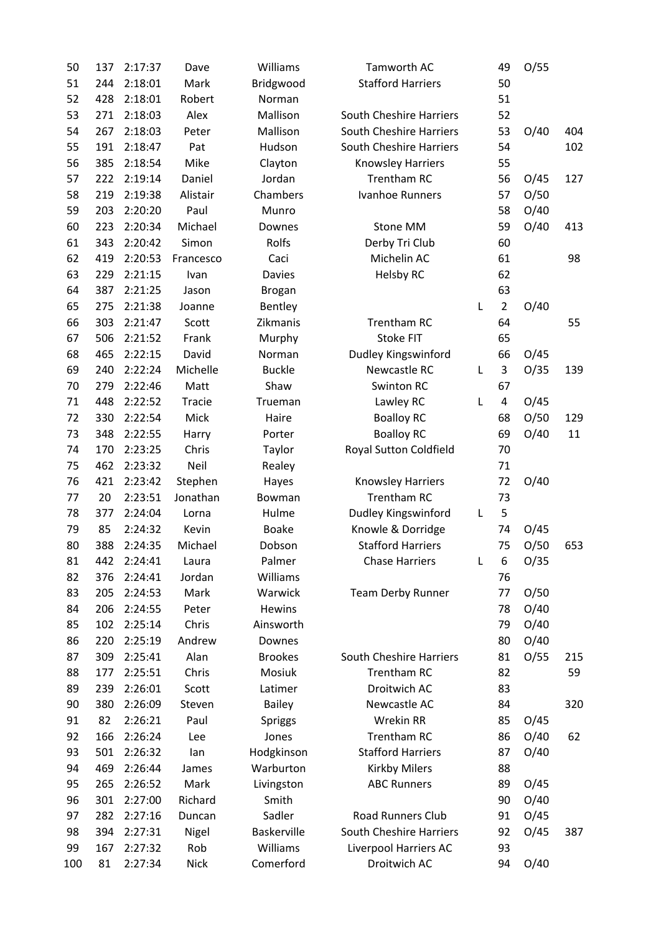| 50  | 137 | 2:17:37 | Dave          | Williams           | Tamworth AC                    |   | 49             | O/55 |     |
|-----|-----|---------|---------------|--------------------|--------------------------------|---|----------------|------|-----|
| 51  | 244 | 2:18:01 | Mark          | Bridgwood          | <b>Stafford Harriers</b>       |   | 50             |      |     |
| 52  | 428 | 2:18:01 | Robert        | Norman             |                                |   | 51             |      |     |
| 53  | 271 | 2:18:03 | Alex          | Mallison           | <b>South Cheshire Harriers</b> |   | 52             |      |     |
| 54  | 267 | 2:18:03 | Peter         | Mallison           | South Cheshire Harriers        |   | 53             | O/40 | 404 |
| 55  | 191 | 2:18:47 | Pat           | Hudson             | <b>South Cheshire Harriers</b> |   | 54             |      | 102 |
| 56  | 385 | 2:18:54 | Mike          | Clayton            | <b>Knowsley Harriers</b>       |   | 55             |      |     |
| 57  | 222 | 2:19:14 | Daniel        | Jordan             | <b>Trentham RC</b>             |   | 56             | O/45 | 127 |
| 58  | 219 | 2:19:38 | Alistair      | Chambers           | <b>Ivanhoe Runners</b>         |   | 57             | O/50 |     |
| 59  | 203 | 2:20:20 | Paul          | Munro              |                                |   | 58             | O/40 |     |
| 60  | 223 | 2:20:34 | Michael       | Downes             | Stone MM                       |   | 59             | O/40 | 413 |
| 61  | 343 | 2:20:42 | Simon         | Rolfs              | Derby Tri Club                 |   | 60             |      |     |
| 62  | 419 | 2:20:53 | Francesco     | Caci               | Michelin AC                    |   | 61             |      | 98  |
| 63  | 229 | 2:21:15 | Ivan          | <b>Davies</b>      | <b>Helsby RC</b>               |   | 62             |      |     |
| 64  | 387 | 2:21:25 | Jason         | <b>Brogan</b>      |                                |   | 63             |      |     |
| 65  | 275 | 2:21:38 | Joanne        | Bentley            |                                | L | $\overline{2}$ | O/40 |     |
| 66  | 303 | 2:21:47 | Scott         | Zikmanis           | <b>Trentham RC</b>             |   | 64             |      | 55  |
| 67  | 506 | 2:21:52 | Frank         | Murphy             | <b>Stoke FIT</b>               |   | 65             |      |     |
| 68  | 465 | 2:22:15 | David         | Norman             | Dudley Kingswinford            |   | 66             | O/45 |     |
| 69  | 240 | 2:22:24 | Michelle      | <b>Buckle</b>      | Newcastle RC                   | L | 3              | O/35 | 139 |
| 70  | 279 | 2:22:46 | Matt          | Shaw               | Swinton RC                     |   | 67             |      |     |
| 71  | 448 | 2:22:52 | <b>Tracie</b> | Trueman            | Lawley RC                      | L | 4              | O/45 |     |
| 72  | 330 | 2:22:54 | Mick          | Haire              | <b>Boalloy RC</b>              |   | 68             | O/50 | 129 |
| 73  | 348 | 2:22:55 | Harry         | Porter             | <b>Boalloy RC</b>              |   | 69             | O/40 | 11  |
| 74  | 170 | 2:23:25 | Chris         | Taylor             | Royal Sutton Coldfield         |   | 70             |      |     |
| 75  | 462 | 2:23:32 | Neil          | Realey             |                                |   | 71             |      |     |
| 76  | 421 | 2:23:42 | Stephen       | Hayes              | <b>Knowsley Harriers</b>       |   | 72             | O/40 |     |
| 77  | 20  | 2:23:51 | Jonathan      | Bowman             | <b>Trentham RC</b>             |   | 73             |      |     |
| 78  | 377 | 2:24:04 | Lorna         | Hulme              | Dudley Kingswinford            | L | 5              |      |     |
| 79  | 85  | 2:24:32 | Kevin         | <b>Boake</b>       | Knowle & Dorridge              |   | 74             | O/45 |     |
| 80  | 388 | 2:24:35 | Michael       | Dobson             | <b>Stafford Harriers</b>       |   | 75             | O/50 | 653 |
| 81  | 442 | 2:24:41 | Laura         | Palmer             | <b>Chase Harriers</b>          | L | 6              | O/35 |     |
| 82  | 376 | 2:24:41 | Jordan        | Williams           |                                |   | 76             |      |     |
| 83  | 205 | 2:24:53 | Mark          | Warwick            | <b>Team Derby Runner</b>       |   | 77             | O/50 |     |
| 84  | 206 | 2:24:55 | Peter         | Hewins             |                                |   | 78             | O/40 |     |
| 85  | 102 | 2:25:14 | Chris         | Ainsworth          |                                |   | 79             | O/40 |     |
| 86  | 220 | 2:25:19 | Andrew        | Downes             |                                |   | 80             | O/40 |     |
| 87  | 309 | 2:25:41 | Alan          | <b>Brookes</b>     | <b>South Cheshire Harriers</b> |   | 81             | O/55 | 215 |
| 88  | 177 | 2:25:51 | Chris         | Mosiuk             | <b>Trentham RC</b>             |   | 82             |      | 59  |
| 89  | 239 | 2:26:01 | Scott         | Latimer            | Droitwich AC                   |   | 83             |      |     |
| 90  | 380 | 2:26:09 | Steven        | Bailey             | Newcastle AC                   |   | 84             |      | 320 |
| 91  | 82  | 2:26:21 | Paul          | <b>Spriggs</b>     | Wrekin RR                      |   | 85             | O/45 |     |
| 92  | 166 | 2:26:24 | Lee           | Jones              | Trentham RC                    |   | 86             | O/40 | 62  |
| 93  | 501 | 2:26:32 | lan           | Hodgkinson         | <b>Stafford Harriers</b>       |   | 87             | O/40 |     |
| 94  | 469 | 2:26:44 | James         | Warburton          | <b>Kirkby Milers</b>           |   | 88             |      |     |
| 95  | 265 | 2:26:52 | Mark          | Livingston         | <b>ABC Runners</b>             |   | 89             | O/45 |     |
| 96  | 301 | 2:27:00 | Richard       | Smith              |                                |   | 90             | O/40 |     |
| 97  | 282 | 2:27:16 | Duncan        | Sadler             | <b>Road Runners Club</b>       |   | 91             | O/45 |     |
| 98  | 394 | 2:27:31 | Nigel         | <b>Baskerville</b> | <b>South Cheshire Harriers</b> |   | 92             | O/45 | 387 |
| 99  | 167 | 2:27:32 | Rob           | Williams           | Liverpool Harriers AC          |   | 93             |      |     |
| 100 | 81  | 2:27:34 | <b>Nick</b>   | Comerford          | Droitwich AC                   |   | 94             | O/40 |     |
|     |     |         |               |                    |                                |   |                |      |     |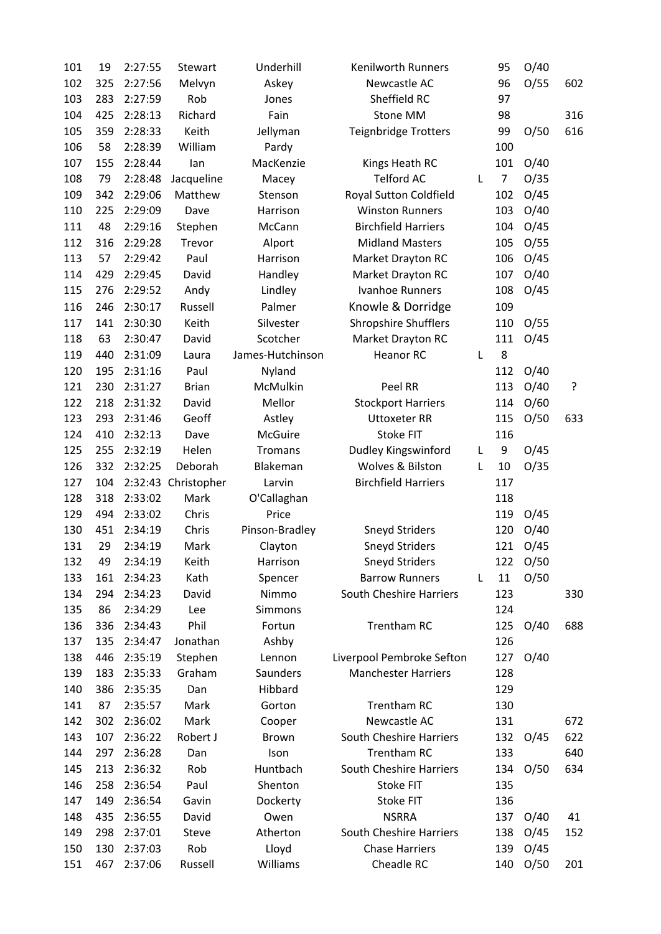| 101 | 19         | 2:27:55            | Stewart             | Underhill        | <b>Kenilworth Runners</b>   |   | 95             | O/40     |     |
|-----|------------|--------------------|---------------------|------------------|-----------------------------|---|----------------|----------|-----|
| 102 | 325        | 2:27:56            | Melvyn              | Askey            | Newcastle AC                |   | 96             | O/55     | 602 |
| 103 | 283        | 2:27:59            | Rob                 | Jones            | Sheffield RC                |   | 97             |          |     |
| 104 | 425        | 2:28:13            | Richard             | Fain             | Stone MM                    |   | 98             |          | 316 |
| 105 | 359        | 2:28:33            | Keith               | Jellyman         | <b>Teignbridge Trotters</b> |   | 99             | O/50     | 616 |
| 106 | 58         | 2:28:39            | William             | Pardy            |                             |   | 100            |          |     |
| 107 | 155        | 2:28:44            | lan                 | MacKenzie        | Kings Heath RC              |   | 101            | O/40     |     |
| 108 | 79         | 2:28:48            | Jacqueline          | Macey            | <b>Telford AC</b>           | L | $\overline{7}$ | O/35     |     |
| 109 | 342        | 2:29:06            | Matthew             | Stenson          | Royal Sutton Coldfield      |   | 102            | O/45     |     |
| 110 | 225        | 2:29:09            | Dave                | Harrison         | <b>Winston Runners</b>      |   | 103            | O/40     |     |
| 111 | 48         | 2:29:16            | Stephen             | McCann           | <b>Birchfield Harriers</b>  |   | 104            | O/45     |     |
| 112 | 316        | 2:29:28            | Trevor              | Alport           | <b>Midland Masters</b>      |   | 105            | O/55     |     |
| 113 | 57         | 2:29:42            | Paul                | Harrison         | Market Drayton RC           |   | 106            | O/45     |     |
| 114 | 429        | 2:29:45            | David               | Handley          | Market Drayton RC           |   | 107            | O/40     |     |
| 115 | 276        | 2:29:52            | Andy                | Lindley          | Ivanhoe Runners             |   | 108            | O/45     |     |
| 116 | 246        | 2:30:17            | Russell             | Palmer           | Knowle & Dorridge           |   | 109            |          |     |
| 117 | 141        | 2:30:30            | Keith               | Silvester        | <b>Shropshire Shufflers</b> |   | 110            | O/55     |     |
| 118 | 63         | 2:30:47            | David               | Scotcher         | Market Drayton RC           |   | 111            | O/45     |     |
| 119 | 440        | 2:31:09            | Laura               | James-Hutchinson | <b>Heanor RC</b>            | L | 8              |          |     |
| 120 | 195        | 2:31:16            | Paul                | Nyland           |                             |   | 112            | O/40     |     |
| 121 | 230        | 2:31:27            | <b>Brian</b>        | McMulkin         | Peel RR                     |   | 113            | O/40     | ?   |
| 122 | 218        | 2:31:32            | David               | Mellor           | <b>Stockport Harriers</b>   |   | 114            | O/60     |     |
| 123 | 293        | 2:31:46            | Geoff               | Astley           | <b>Uttoxeter RR</b>         |   | 115            | O/50     | 633 |
| 124 | 410        | 2:32:13            | Dave                | <b>McGuire</b>   | <b>Stoke FIT</b>            |   | 116            |          |     |
| 125 | 255        | 2:32:19            | Helen               | <b>Tromans</b>   | Dudley Kingswinford         | L | 9              | O/45     |     |
| 126 | 332        | 2:32:25            | Deborah             | Blakeman         | Wolves & Bilston            | L | 10             | O/35     |     |
| 127 | 104        |                    | 2:32:43 Christopher | Larvin           | <b>Birchfield Harriers</b>  |   | 117            |          |     |
| 128 | 318        | 2:33:02            | Mark                | O'Callaghan      |                             |   | 118            |          |     |
| 129 | 494        | 2:33:02            | Chris               | Price            |                             |   | 119            | O/45     |     |
| 130 | 451        | 2:34:19            | Chris               | Pinson-Bradley   | <b>Sneyd Striders</b>       |   | 120            | O/40     |     |
| 131 | 29         | 2:34:19            | Mark                | Clayton          | <b>Sneyd Striders</b>       |   | 121            | O/45     |     |
| 132 | 49         | 2:34:19            | Keith               | Harrison         | <b>Sneyd Striders</b>       |   |                | 122 0/50 |     |
| 133 | 161        | 2:34:23            | Kath                | Spencer          | <b>Barrow Runners</b>       | L | 11             | O/50     |     |
| 134 | 294        | 2:34:23            | David               | Nimmo            | South Cheshire Harriers     |   | 123            |          | 330 |
| 135 | 86         | 2:34:29            | Lee                 | <b>Simmons</b>   |                             |   | 124            |          |     |
| 136 | 336        | 2:34:43            | Phil                | Fortun           | <b>Trentham RC</b>          |   | 125            | O/40     | 688 |
| 137 | 135        | 2:34:47            | Jonathan            | Ashby            |                             |   | 126            |          |     |
| 138 | 446        | 2:35:19            | Stephen             | Lennon           | Liverpool Pembroke Sefton   |   | 127            | O/40     |     |
| 139 | 183        | 2:35:33            | Graham              | Saunders         | <b>Manchester Harriers</b>  |   | 128            |          |     |
| 140 | 386        | 2:35:35            | Dan                 | Hibbard          |                             |   | 129            |          |     |
| 141 | 87         | 2:35:57            | Mark                | Gorton           | <b>Trentham RC</b>          |   | 130            |          |     |
| 142 | 302        | 2:36:02            | Mark                | Cooper           | Newcastle AC                |   | 131            |          | 672 |
| 143 | 107        | 2:36:22            | Robert J            | Brown            | South Cheshire Harriers     |   | 132            | O/45     | 622 |
| 144 | 297        | 2:36:28            | Dan                 | Ison             | <b>Trentham RC</b>          |   | 133            |          | 640 |
| 145 | 213        | 2:36:32            | Rob                 | Huntbach         | South Cheshire Harriers     |   | 134            | O/50     | 634 |
| 146 |            |                    | Paul                | Shenton          | <b>Stoke FIT</b>            |   |                |          |     |
| 147 | 258<br>149 | 2:36:54<br>2:36:54 | Gavin               |                  | Stoke FIT                   |   | 135<br>136     |          |     |
|     | 435        |                    |                     | Dockerty<br>Owen | <b>NSRRA</b>                |   |                |          |     |
| 148 |            | 2:36:55            | David               |                  | South Cheshire Harriers     |   | 137            | O/40     | 41  |
| 149 | 298        | 2:37:01            | Steve               | Atherton         |                             |   | 138            | O/45     | 152 |
| 150 | 130        | 2:37:03            | Rob                 | Lloyd            | <b>Chase Harriers</b>       |   | 139            | O/45     |     |
| 151 | 467        | 2:37:06            | Russell             | Williams         | Cheadle RC                  |   | 140            | O/50     | 201 |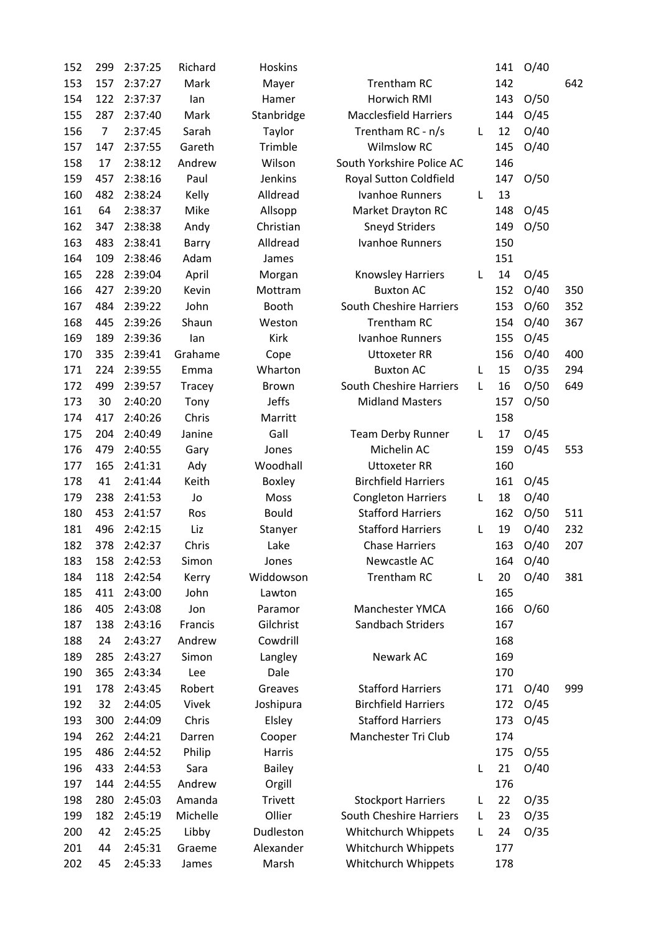| 152 | 299            | 2:37:25 | Richard       | <b>Hoskins</b> |                                |   | 141 | O/40 |     |
|-----|----------------|---------|---------------|----------------|--------------------------------|---|-----|------|-----|
| 153 | 157            | 2:37:27 | Mark          | Mayer          | <b>Trentham RC</b>             |   | 142 |      | 642 |
| 154 | 122            | 2:37:37 | lan           | Hamer          | Horwich RMI                    |   | 143 | O/50 |     |
| 155 | 287            | 2:37:40 | Mark          | Stanbridge     | <b>Macclesfield Harriers</b>   |   | 144 | O/45 |     |
| 156 | $\overline{7}$ | 2:37:45 | Sarah         | Taylor         | Trentham RC - n/s              | L | 12  | O/40 |     |
| 157 | 147            | 2:37:55 | Gareth        | Trimble        | <b>Wilmslow RC</b>             |   | 145 | O/40 |     |
| 158 | 17             | 2:38:12 | Andrew        | Wilson         | South Yorkshire Police AC      |   | 146 |      |     |
| 159 | 457            | 2:38:16 | Paul          | Jenkins        | Royal Sutton Coldfield         |   | 147 | O/50 |     |
| 160 | 482            | 2:38:24 | Kelly         | Alldread       | Ivanhoe Runners                | L | 13  |      |     |
| 161 | 64             | 2:38:37 | Mike          | Allsopp        | Market Drayton RC              |   | 148 | O/45 |     |
| 162 | 347            | 2:38:38 | Andy          | Christian      | <b>Sneyd Striders</b>          |   | 149 | O/50 |     |
| 163 | 483            | 2:38:41 | Barry         | Alldread       | Ivanhoe Runners                |   | 150 |      |     |
| 164 | 109            | 2:38:46 | Adam          | James          |                                |   | 151 |      |     |
| 165 | 228            | 2:39:04 | April         | Morgan         | Knowsley Harriers              | L | 14  | O/45 |     |
| 166 | 427            | 2:39:20 | Kevin         | Mottram        | <b>Buxton AC</b>               |   | 152 | O/40 | 350 |
| 167 | 484            | 2:39:22 | John          | Booth          | <b>South Cheshire Harriers</b> |   | 153 | O/60 | 352 |
| 168 | 445            | 2:39:26 | Shaun         | Weston         | <b>Trentham RC</b>             |   | 154 | O/40 | 367 |
| 169 | 189            | 2:39:36 | lan           | Kirk           | <b>Ivanhoe Runners</b>         |   | 155 | O/45 |     |
| 170 | 335            | 2:39:41 | Grahame       | Cope           | <b>Uttoxeter RR</b>            |   | 156 | O/40 | 400 |
| 171 | 224            | 2:39:55 | Emma          | Wharton        | <b>Buxton AC</b>               | L | 15  | O/35 | 294 |
| 172 | 499            | 2:39:57 | <b>Tracey</b> | <b>Brown</b>   | <b>South Cheshire Harriers</b> | L | 16  | O/50 | 649 |
| 173 | 30             | 2:40:20 | Tony          | <b>Jeffs</b>   | <b>Midland Masters</b>         |   | 157 | O/50 |     |
| 174 | 417            | 2:40:26 | Chris         | Marritt        |                                |   | 158 |      |     |
| 175 | 204            | 2:40:49 | Janine        | Gall           | <b>Team Derby Runner</b>       | L | 17  | O/45 |     |
| 176 | 479            | 2:40:55 | Gary          | Jones          | Michelin AC                    |   | 159 | O/45 | 553 |
| 177 | 165            | 2:41:31 | Ady           | Woodhall       | <b>Uttoxeter RR</b>            |   | 160 |      |     |
| 178 | 41             | 2:41:44 | Keith         | Boxley         | <b>Birchfield Harriers</b>     |   | 161 | O/45 |     |
| 179 | 238            | 2:41:53 | Jo            | Moss           | <b>Congleton Harriers</b>      | L | 18  | O/40 |     |
| 180 | 453            | 2:41:57 | Ros           | <b>Bould</b>   | <b>Stafford Harriers</b>       |   | 162 | O/50 | 511 |
| 181 | 496            | 2:42:15 | Liz           | Stanyer        | <b>Stafford Harriers</b>       | L | 19  | O/40 | 232 |
| 182 | 378            | 2:42:37 | Chris         | Lake           | <b>Chase Harriers</b>          |   | 163 | O/40 | 207 |
| 183 | 158            | 2:42:53 | Simon         | Jones          | Newcastle AC                   |   | 164 | O/40 |     |
| 184 | 118            | 2:42:54 | Kerry         | Widdowson      | <b>Trentham RC</b>             | L | 20  | O/40 | 381 |
| 185 | 411            | 2:43:00 | John          | Lawton         |                                |   | 165 |      |     |
| 186 | 405            | 2:43:08 | Jon           | Paramor        | Manchester YMCA                |   | 166 | O/60 |     |
| 187 | 138            | 2:43:16 | Francis       | Gilchrist      | Sandbach Striders              |   | 167 |      |     |
| 188 | 24             | 2:43:27 | Andrew        | Cowdrill       |                                |   | 168 |      |     |
| 189 | 285            | 2:43:27 | Simon         | Langley        | Newark AC                      |   | 169 |      |     |
| 190 | 365            | 2:43:34 | Lee           | Dale           |                                |   | 170 |      |     |
| 191 | 178            | 2:43:45 | Robert        | Greaves        | <b>Stafford Harriers</b>       |   | 171 | O/40 | 999 |
| 192 | 32             | 2:44:05 | Vivek         | Joshipura      | <b>Birchfield Harriers</b>     |   | 172 | O/45 |     |
| 193 | 300            | 2:44:09 | Chris         | Elsley         | <b>Stafford Harriers</b>       |   | 173 | O/45 |     |
| 194 | 262            | 2:44:21 | Darren        | Cooper         | Manchester Tri Club            |   | 174 |      |     |
| 195 | 486            | 2:44:52 | Philip        | Harris         |                                |   | 175 | O/55 |     |
| 196 | 433            | 2:44:53 | Sara          | <b>Bailey</b>  |                                | L | 21  | O/40 |     |
| 197 | 144            | 2:44:55 | Andrew        | Orgill         |                                |   | 176 |      |     |
| 198 | 280            | 2:45:03 | Amanda        | <b>Trivett</b> | <b>Stockport Harriers</b>      | L | 22  | O/35 |     |
| 199 | 182            | 2:45:19 | Michelle      | Ollier         | South Cheshire Harriers        | L | 23  | O/35 |     |
| 200 | 42             | 2:45:25 | Libby         | Dudleston      | Whitchurch Whippets            | L | 24  | O/35 |     |
| 201 | 44             | 2:45:31 | Graeme        | Alexander      | Whitchurch Whippets            |   | 177 |      |     |
| 202 | 45             | 2:45:33 | James         | Marsh          | Whitchurch Whippets            |   | 178 |      |     |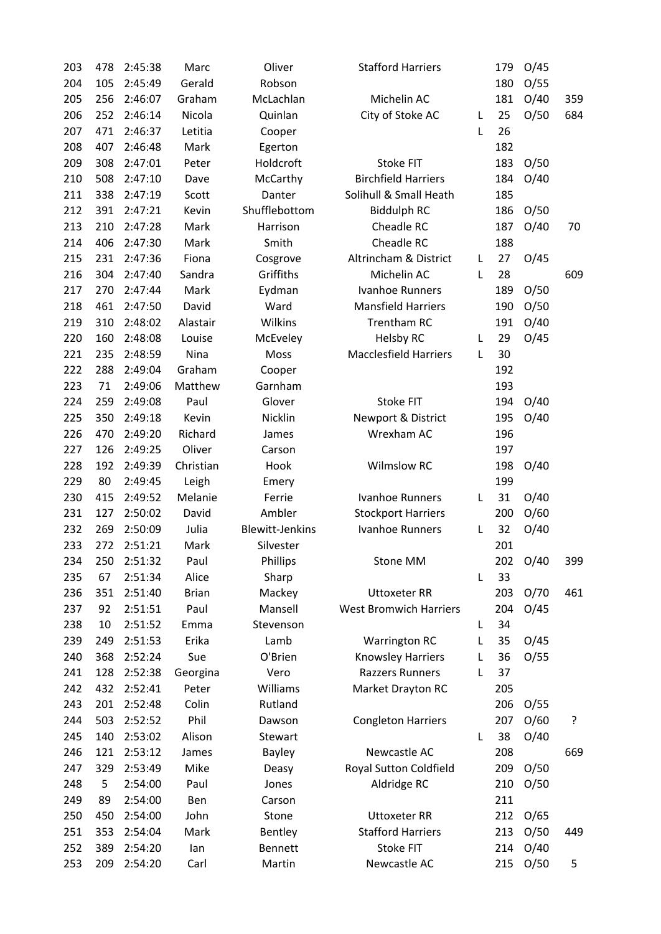| 203        | 478 | 2:45:38            | Marc             | Oliver                 | <b>Stafford Harriers</b>      |   | 179        | O/45 |     |
|------------|-----|--------------------|------------------|------------------------|-------------------------------|---|------------|------|-----|
| 204        | 105 | 2:45:49            | Gerald           | Robson                 |                               |   | 180        | O/55 |     |
| 205        | 256 | 2:46:07            | Graham           | McLachlan              | Michelin AC                   |   | 181        | O/40 | 359 |
| 206        | 252 | 2:46:14            | Nicola           | Quinlan                | City of Stoke AC              | L | 25         | O/50 | 684 |
| 207        | 471 | 2:46:37            | Letitia          | Cooper                 |                               | L | 26         |      |     |
| 208        | 407 | 2:46:48            | Mark             | Egerton                |                               |   | 182        |      |     |
| 209        | 308 | 2:47:01            | Peter            | Holdcroft              | Stoke FIT                     |   | 183        | O/50 |     |
| 210        | 508 | 2:47:10            | Dave             | McCarthy               | <b>Birchfield Harriers</b>    |   | 184        | O/40 |     |
| 211        | 338 | 2:47:19            | Scott            | Danter                 | Solihull & Small Heath        |   | 185        |      |     |
| 212        | 391 | 2:47:21            | Kevin            | Shufflebottom          | <b>Biddulph RC</b>            |   | 186        | O/50 |     |
| 213        | 210 | 2:47:28            | Mark             | Harrison               | Cheadle RC                    |   | 187        | O/40 | 70  |
| 214        | 406 | 2:47:30            | Mark             | Smith                  | Cheadle RC                    |   | 188        |      |     |
| 215        | 231 | 2:47:36            | Fiona            | Cosgrove               | Altrincham & District         | L | 27         | O/45 |     |
| 216        | 304 | 2:47:40            | Sandra           | Griffiths              | Michelin AC                   | L | 28         |      | 609 |
| 217        | 270 | 2:47:44            | Mark             | Eydman                 | Ivanhoe Runners               |   | 189        | O/50 |     |
| 218        | 461 | 2:47:50            | David            | Ward                   | <b>Mansfield Harriers</b>     |   | 190        | O/50 |     |
| 219        | 310 | 2:48:02            | Alastair         | Wilkins                | Trentham RC                   |   | 191        | O/40 |     |
| 220        | 160 | 2:48:08            | Louise           | McEveley               | <b>Helsby RC</b>              | L | 29         | O/45 |     |
| 221        | 235 | 2:48:59            | Nina             | Moss                   | <b>Macclesfield Harriers</b>  | L | 30         |      |     |
| 222        | 288 | 2:49:04            | Graham           | Cooper                 |                               |   | 192        |      |     |
| 223        | 71  | 2:49:06            | Matthew          | Garnham                |                               |   | 193        |      |     |
| 224        | 259 | 2:49:08            | Paul             | Glover                 | <b>Stoke FIT</b>              |   | 194        | O/40 |     |
| 225        | 350 | 2:49:18            | Kevin            | Nicklin                | Newport & District            |   | 195        | O/40 |     |
| 226        | 470 | 2:49:20            | Richard          | James                  | Wrexham AC                    |   | 196        |      |     |
| 227        | 126 | 2:49:25            | Oliver           |                        |                               |   | 197        |      |     |
| 228        | 192 | 2:49:39            | Christian        | Carson<br>Hook         | <b>Wilmslow RC</b>            |   |            |      |     |
|            | 80  | 2:49:45            |                  |                        |                               |   | 198<br>199 | O/40 |     |
| 229<br>230 |     | 2:49:52            | Leigh<br>Melanie | Emery<br>Ferrie        | <b>Ivanhoe Runners</b>        | L |            |      |     |
|            | 415 |                    |                  |                        |                               |   | 31         | O/40 |     |
| 231        | 127 | 2:50:02<br>2:50:09 | David<br>Julia   | Ambler                 | <b>Stockport Harriers</b>     |   | 200        | O/60 |     |
| 232        | 269 | 2:51:21            |                  | <b>Blewitt-Jenkins</b> | Ivanhoe Runners               | L | 32         | O/40 |     |
| 233        | 272 |                    | Mark             | Silvester              |                               |   | 201        |      |     |
| 234        | 250 | 2:51:32            | Paul             | Phillips               | Stone MM                      |   | 202        | O/40 | 399 |
| 235        | 67  | 2:51:34            | Alice            | Sharp                  |                               | L | 33         |      |     |
| 236        | 351 | 2:51:40            | <b>Brian</b>     | Mackey                 | <b>Uttoxeter RR</b>           |   | 203        | O/70 | 461 |
| 237        | 92  | 2:51:51            | Paul             | Mansell                | <b>West Bromwich Harriers</b> |   | 204        | O/45 |     |
| 238        | 10  | 2:51:52            | Emma             | Stevenson              |                               | L | 34         |      |     |
| 239        | 249 | 2:51:53            | Erika            | Lamb                   | <b>Warrington RC</b>          | L | 35         | O/45 |     |
| 240        | 368 | 2:52:24            | Sue              | O'Brien                | <b>Knowsley Harriers</b>      | L | 36         | O/55 |     |
| 241        | 128 | 2:52:38            | Georgina         | Vero                   | <b>Razzers Runners</b>        | L | 37         |      |     |
| 242        | 432 | 2:52:41            | Peter            | Williams               | Market Drayton RC             |   | 205        |      |     |
| 243        | 201 | 2:52:48            | Colin            | Rutland                |                               |   | 206        | O/55 |     |
| 244        | 503 | 2:52:52            | Phil             | Dawson                 | <b>Congleton Harriers</b>     |   | 207        | O/60 | ?   |
| 245        | 140 | 2:53:02            | Alison           | Stewart                |                               | L | 38         | O/40 |     |
| 246        | 121 | 2:53:12            | James            | <b>Bayley</b>          | Newcastle AC                  |   | 208        |      | 669 |
| 247        | 329 | 2:53:49            | Mike             | Deasy                  | Royal Sutton Coldfield        |   | 209        | O/50 |     |
| 248        | 5   | 2:54:00            | Paul             | Jones                  | Aldridge RC                   |   | 210        | O/50 |     |
| 249        | 89  | 2:54:00            | Ben              | Carson                 |                               |   | 211        |      |     |
| 250        | 450 | 2:54:00            | John             | Stone                  | <b>Uttoxeter RR</b>           |   | 212        | O/65 |     |
| 251        | 353 | 2:54:04            | Mark             | Bentley                | <b>Stafford Harriers</b>      |   | 213        | O/50 | 449 |
| 252        | 389 | 2:54:20            | lan              | Bennett                | <b>Stoke FIT</b>              |   | 214        | O/40 |     |
| 253        | 209 | 2:54:20            | Carl             | Martin                 | Newcastle AC                  |   | 215        | O/50 | 5   |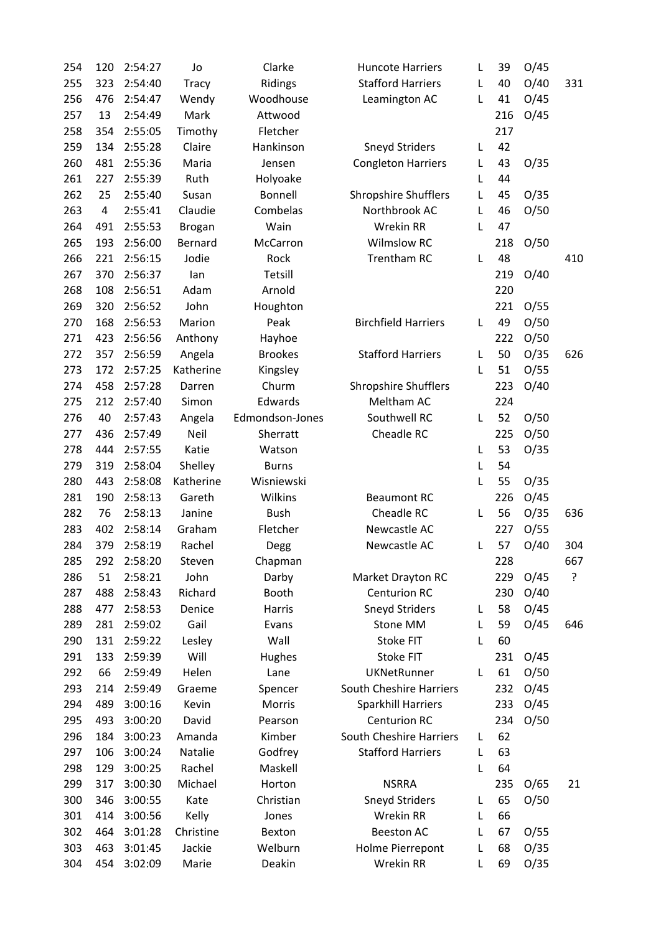| 254 | 120 | 2:54:27 | Jo            | Clarke          | <b>Huncote Harriers</b>                   | L | 39  | O/45 |     |
|-----|-----|---------|---------------|-----------------|-------------------------------------------|---|-----|------|-----|
| 255 | 323 | 2:54:40 | <b>Tracy</b>  | Ridings         | <b>Stafford Harriers</b>                  | L | 40  | O/40 | 331 |
| 256 | 476 | 2:54:47 | Wendy         | Woodhouse       | Leamington AC                             | L | 41  | O/45 |     |
| 257 | 13  | 2:54:49 | Mark          | Attwood         |                                           |   | 216 | O/45 |     |
| 258 | 354 | 2:55:05 | Timothy       | Fletcher        |                                           |   | 217 |      |     |
| 259 | 134 | 2:55:28 | Claire        | Hankinson       | <b>Sneyd Striders</b>                     | L | 42  |      |     |
| 260 | 481 | 2:55:36 | Maria         | Jensen          | <b>Congleton Harriers</b>                 | L | 43  | O/35 |     |
| 261 | 227 | 2:55:39 | Ruth          | Holyoake        |                                           | L | 44  |      |     |
| 262 | 25  | 2:55:40 | Susan         | Bonnell         | <b>Shropshire Shufflers</b>               | L | 45  | O/35 |     |
| 263 | 4   | 2:55:41 | Claudie       | Combelas        | Northbrook AC                             | L | 46  | O/50 |     |
| 264 | 491 | 2:55:53 | <b>Brogan</b> | Wain            | <b>Wrekin RR</b>                          | L | 47  |      |     |
| 265 | 193 | 2:56:00 | Bernard       | McCarron        | <b>Wilmslow RC</b>                        |   | 218 | O/50 |     |
| 266 | 221 | 2:56:15 | Jodie         | Rock            | Trentham RC                               | L | 48  |      | 410 |
| 267 | 370 | 2:56:37 | lan           | Tetsill         |                                           |   | 219 | O/40 |     |
| 268 | 108 | 2:56:51 | Adam          | Arnold          |                                           |   | 220 |      |     |
| 269 | 320 | 2:56:52 | John          | Houghton        |                                           |   | 221 | O/55 |     |
| 270 | 168 | 2:56:53 | Marion        | Peak            | <b>Birchfield Harriers</b>                | L | 49  | O/50 |     |
| 271 | 423 | 2:56:56 | Anthony       | Hayhoe          |                                           |   | 222 | O/50 |     |
| 272 | 357 | 2:56:59 | Angela        | <b>Brookes</b>  | <b>Stafford Harriers</b>                  | L | 50  | O/35 | 626 |
| 273 | 172 | 2:57:25 | Katherine     | Kingsley        |                                           | L | 51  | O/55 |     |
| 274 | 458 | 2:57:28 |               | Churm           |                                           |   | 223 | O/40 |     |
|     |     | 2:57:40 | Darren        | Edwards         | <b>Shropshire Shufflers</b><br>Meltham AC |   |     |      |     |
| 275 | 212 |         | Simon         |                 |                                           |   | 224 |      |     |
| 276 | 40  | 2:57:43 | Angela        | Edmondson-Jones | Southwell RC                              | L | 52  | O/50 |     |
| 277 | 436 | 2:57:49 | Neil          | Sherratt        | Cheadle RC                                |   | 225 | O/50 |     |
| 278 | 444 | 2:57:55 | Katie         | Watson          |                                           | L | 53  | O/35 |     |
| 279 | 319 | 2:58:04 | Shelley       | <b>Burns</b>    |                                           | L | 54  |      |     |
| 280 | 443 | 2:58:08 | Katherine     | Wisniewski      |                                           | L | 55  | O/35 |     |
| 281 | 190 | 2:58:13 | Gareth        | Wilkins         | <b>Beaumont RC</b>                        |   | 226 | O/45 |     |
| 282 | 76  | 2:58:13 | Janine        | <b>Bush</b>     | Cheadle RC                                | L | 56  | O/35 | 636 |
| 283 | 402 | 2:58:14 | Graham        | Fletcher        | Newcastle AC                              |   | 227 | O/55 |     |
| 284 | 379 | 2:58:19 | Rachel        | Degg            | Newcastle AC                              | L | 57  | O/40 | 304 |
| 285 | 292 | 2:58:20 | Steven        | Chapman         |                                           |   | 228 |      | 667 |
| 286 | 51  | 2:58:21 | John          | Darby           | Market Drayton RC                         |   | 229 | O/45 | ?   |
| 287 | 488 | 2:58:43 | Richard       | Booth           | <b>Centurion RC</b>                       |   | 230 | O/40 |     |
| 288 | 477 | 2:58:53 | Denice        | Harris          | <b>Sneyd Striders</b>                     | L | 58  | O/45 |     |
| 289 | 281 | 2:59:02 | Gail          | Evans           | Stone MM                                  | L | 59  | O/45 | 646 |
| 290 | 131 | 2:59:22 | Lesley        | Wall            | Stoke FIT                                 | L | 60  |      |     |
| 291 | 133 | 2:59:39 | Will          | Hughes          | <b>Stoke FIT</b>                          |   | 231 | O/45 |     |
| 292 | 66  | 2:59:49 | Helen         | Lane            | <b>UKNetRunner</b>                        | L | 61  | O/50 |     |
| 293 | 214 | 2:59:49 | Graeme        | Spencer         | South Cheshire Harriers                   |   | 232 | O/45 |     |
| 294 | 489 | 3:00:16 | Kevin         | Morris          | <b>Sparkhill Harriers</b>                 |   | 233 | O/45 |     |
| 295 | 493 | 3:00:20 | David         | Pearson         | <b>Centurion RC</b>                       |   | 234 | O/50 |     |
| 296 | 184 | 3:00:23 | Amanda        | Kimber          | South Cheshire Harriers                   | L | 62  |      |     |
| 297 | 106 | 3:00:24 | Natalie       | Godfrey         | <b>Stafford Harriers</b>                  | L | 63  |      |     |
| 298 | 129 | 3:00:25 | Rachel        | Maskell         |                                           | L | 64  |      |     |
| 299 | 317 | 3:00:30 | Michael       | Horton          | <b>NSRRA</b>                              |   | 235 | O/65 | 21  |
| 300 | 346 | 3:00:55 | Kate          | Christian       | <b>Sneyd Striders</b>                     | L | 65  | O/50 |     |
| 301 | 414 | 3:00:56 | Kelly         | Jones           | Wrekin RR                                 | L | 66  |      |     |
| 302 | 464 | 3:01:28 | Christine     | Bexton          | <b>Beeston AC</b>                         | L | 67  | O/55 |     |
| 303 | 463 | 3:01:45 | Jackie        | Welburn         | Holme Pierrepont                          | L | 68  | O/35 |     |
| 304 | 454 | 3:02:09 | Marie         | Deakin          | Wrekin RR                                 | L | 69  | O/35 |     |
|     |     |         |               |                 |                                           |   |     |      |     |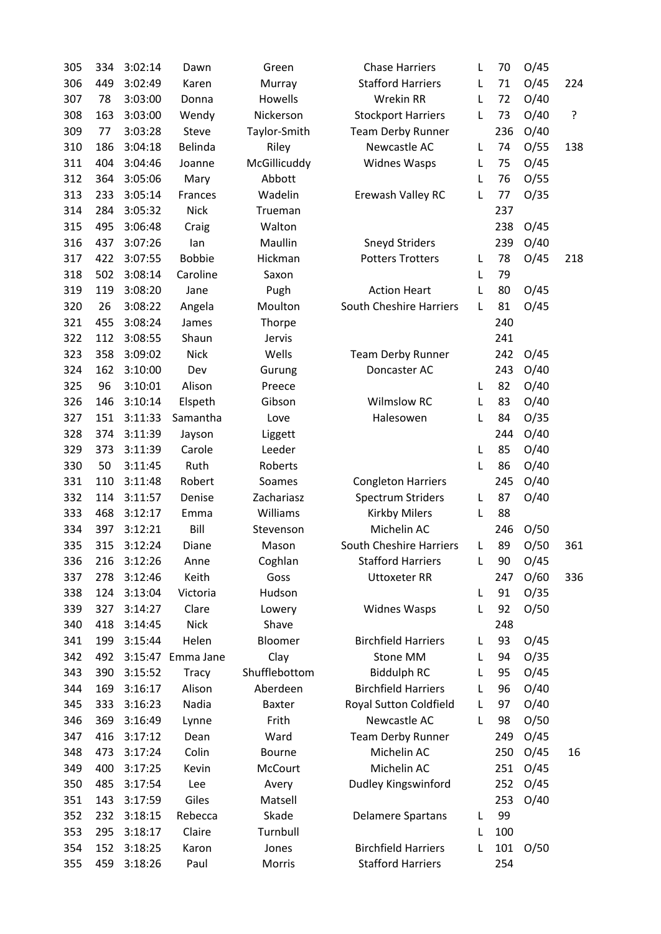| 305        | 334 | 3:02:14 | Dawn                 | Green           | <b>Chase Harriers</b>          | L      | 70  | O/45 |     |
|------------|-----|---------|----------------------|-----------------|--------------------------------|--------|-----|------|-----|
| 306        | 449 | 3:02:49 | Karen                | Murray          | <b>Stafford Harriers</b>       | L      | 71  | O/45 | 224 |
| 307        | 78  | 3:03:00 | Donna                | Howells         | Wrekin RR                      | L      | 72  | O/40 |     |
| 308        | 163 | 3:03:00 | Wendy                | Nickerson       | <b>Stockport Harriers</b>      | L      | 73  | O/40 | ŗ   |
| 309        | 77  | 3:03:28 | Steve                | Taylor-Smith    | <b>Team Derby Runner</b>       |        | 236 | O/40 |     |
| 310        | 186 | 3:04:18 | Belinda              | Riley           | Newcastle AC                   | L      | 74  | O/55 | 138 |
| 311        | 404 | 3:04:46 | Joanne               | McGillicuddy    | <b>Widnes Wasps</b>            | L      | 75  | O/45 |     |
| 312        | 364 | 3:05:06 | Mary                 | Abbott          |                                | L      | 76  | O/55 |     |
| 313        | 233 | 3:05:14 | Frances              | Wadelin         | Erewash Valley RC              | L      | 77  | O/35 |     |
| 314        | 284 | 3:05:32 | <b>Nick</b>          | Trueman         |                                |        | 237 |      |     |
| 315        | 495 | 3:06:48 | Craig                | Walton          |                                |        | 238 | O/45 |     |
| 316        | 437 | 3:07:26 | lan                  | Maullin         | <b>Sneyd Striders</b>          |        | 239 | O/40 |     |
| 317        | 422 | 3:07:55 | <b>Bobbie</b>        | Hickman         | <b>Potters Trotters</b>        | L      | 78  | O/45 | 218 |
| 318        | 502 | 3:08:14 | Caroline             | Saxon           |                                | L      | 79  |      |     |
| 319        | 119 | 3:08:20 | Jane                 | Pugh            | <b>Action Heart</b>            | L      | 80  | O/45 |     |
| 320        | 26  | 3:08:22 | Angela               | Moulton         | <b>South Cheshire Harriers</b> | L      | 81  | O/45 |     |
| 321        | 455 | 3:08:24 | James                | Thorpe          |                                |        | 240 |      |     |
| 322        | 112 | 3:08:55 | Shaun                | Jervis          |                                |        | 241 |      |     |
| 323        | 358 | 3:09:02 | <b>Nick</b>          | Wells           | <b>Team Derby Runner</b>       |        | 242 | O/45 |     |
| 324        | 162 | 3:10:00 | Dev                  | Gurung          | Doncaster AC                   |        | 243 | O/40 |     |
| 325        | 96  | 3:10:01 | Alison               | Preece          |                                | L      | 82  | O/40 |     |
| 326        | 146 | 3:10:14 | Elspeth              | Gibson          | <b>Wilmslow RC</b>             | L      | 83  | O/40 |     |
| 327        | 151 | 3:11:33 | Samantha             | Love            | Halesowen                      | L      | 84  | O/35 |     |
| 328        | 374 | 3:11:39 | Jayson               | Liggett         |                                |        | 244 | O/40 |     |
| 329        | 373 | 3:11:39 | Carole               | Leeder          |                                | L      | 85  | O/40 |     |
| 330        | 50  | 3:11:45 | Ruth                 | Roberts         |                                | L      | 86  | O/40 |     |
| 331        | 110 | 3:11:48 | Robert               | Soames          | <b>Congleton Harriers</b>      |        | 245 | O/40 |     |
| 332        | 114 | 3:11:57 | Denise               | Zachariasz      | <b>Spectrum Striders</b>       | L      | 87  | O/40 |     |
| 333        | 468 | 3:12:17 | Emma                 | Williams        | <b>Kirkby Milers</b>           | L      | 88  |      |     |
| 334        | 397 | 3:12:21 | Bill                 | Stevenson       | Michelin AC                    |        | 246 | O/50 |     |
| 335        | 315 | 3:12:24 | Diane                | Mason           | South Cheshire Harriers        |        | 89  | O/50 | 361 |
| 336        | 216 | 3:12:26 | Anne                 | Coghlan         | <b>Stafford Harriers</b>       | L<br>L | 90  | O/45 |     |
| 337        | 278 | 3:12:46 | Keith                | Goss            | <b>Uttoxeter RR</b>            |        |     |      |     |
|            | 124 | 3:13:04 | Victoria             | Hudson          |                                | L      | 247 | O/60 | 336 |
| 338        |     |         |                      |                 |                                |        | 91  | O/35 |     |
| 339<br>340 | 327 | 3:14:27 | Clare<br><b>Nick</b> | Lowery<br>Shave | <b>Widnes Wasps</b>            | L      | 92  | O/50 |     |
|            | 418 | 3:14:45 |                      |                 |                                |        | 248 |      |     |
| 341        | 199 | 3:15:44 | Helen                | Bloomer         | <b>Birchfield Harriers</b>     | L      | 93  | O/45 |     |
| 342        | 492 | 3:15:47 | Emma Jane            | Clay            | Stone MM                       | L      | 94  | O/35 |     |
| 343        | 390 | 3:15:52 | <b>Tracy</b>         | Shufflebottom   | <b>Biddulph RC</b>             | L      | 95  | O/45 |     |
| 344        | 169 | 3:16:17 | Alison               | Aberdeen        | <b>Birchfield Harriers</b>     | L      | 96  | O/40 |     |
| 345        | 333 | 3:16:23 | Nadia                | <b>Baxter</b>   | Royal Sutton Coldfield         | L      | 97  | O/40 |     |
| 346        | 369 | 3:16:49 | Lynne                | Frith           | Newcastle AC                   | L      | 98  | O/50 |     |
| 347        | 416 | 3:17:12 | Dean                 | Ward            | <b>Team Derby Runner</b>       |        | 249 | O/45 |     |
| 348        | 473 | 3:17:24 | Colin                | Bourne          | Michelin AC                    |        | 250 | O/45 | 16  |
| 349        | 400 | 3:17:25 | Kevin                | McCourt         | Michelin AC                    |        | 251 | O/45 |     |
| 350        | 485 | 3:17:54 | Lee                  | Avery           | Dudley Kingswinford            |        | 252 | O/45 |     |
| 351        | 143 | 3:17:59 | Giles                | Matsell         |                                |        | 253 | O/40 |     |
| 352        | 232 | 3:18:15 | Rebecca              | Skade           | <b>Delamere Spartans</b>       | L      | 99  |      |     |
| 353        | 295 | 3:18:17 | Claire               | Turnbull        |                                | L      | 100 |      |     |
| 354        | 152 | 3:18:25 | Karon                | Jones           | <b>Birchfield Harriers</b>     | L      | 101 | O/50 |     |
| 355        | 459 | 3:18:26 | Paul                 | Morris          | <b>Stafford Harriers</b>       |        | 254 |      |     |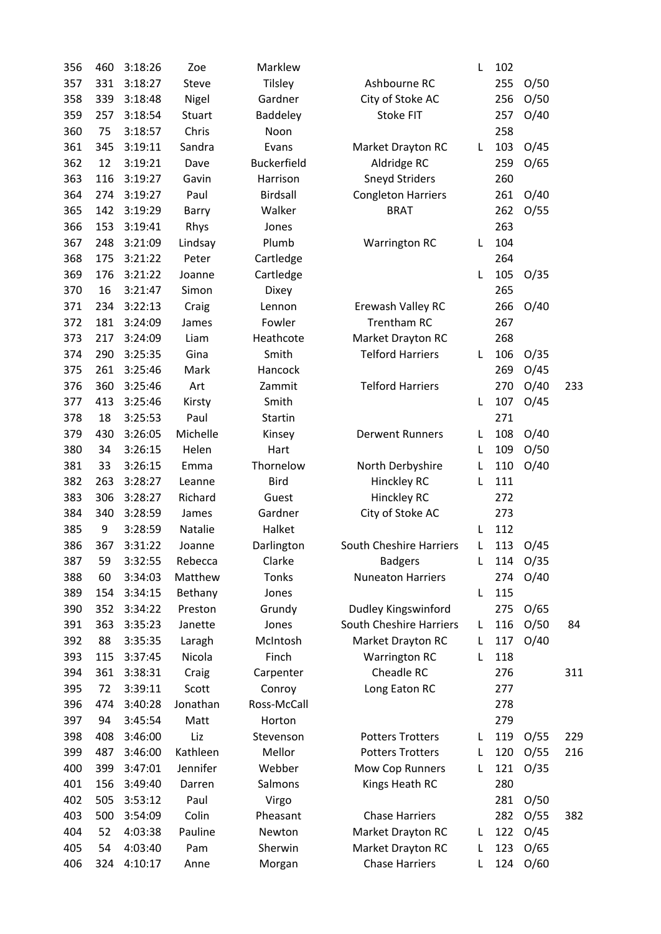| 356 | 460       | 3:18:26 | Zoe              | Marklew            |                           | L      | 102        |              |     |
|-----|-----------|---------|------------------|--------------------|---------------------------|--------|------------|--------------|-----|
| 357 | 331       | 3:18:27 | Steve            | Tilsley            | Ashbourne RC              |        | 255        | O/50         |     |
| 358 | 339       | 3:18:48 | Nigel            | Gardner            | City of Stoke AC          |        | 256        | O/50         |     |
| 359 | 257       | 3:18:54 | <b>Stuart</b>    | Baddeley           | Stoke FIT                 |        | 257        | O/40         |     |
| 360 | 75        | 3:18:57 | Chris            | Noon               |                           |        | 258        |              |     |
| 361 | 345       | 3:19:11 | Sandra           | Evans              | Market Drayton RC         | L      | 103        | O/45         |     |
| 362 | 12        | 3:19:21 | Dave             | Buckerfield        | Aldridge RC               |        | 259        | O/65         |     |
| 363 | 116       | 3:19:27 | Gavin            | Harrison           | <b>Sneyd Striders</b>     |        | 260        |              |     |
| 364 | 274       | 3:19:27 | Paul             | Birdsall           | <b>Congleton Harriers</b> |        | 261        | O/40         |     |
| 365 | 142       | 3:19:29 | Barry            | Walker             | <b>BRAT</b>               |        | 262        | O/55         |     |
| 366 | 153       | 3:19:41 | Rhys             | Jones              |                           |        | 263        |              |     |
| 367 | 248       | 3:21:09 | Lindsay          | Plumb              | <b>Warrington RC</b>      | L      | 104        |              |     |
| 368 | 175       | 3:21:22 | Peter            | Cartledge          |                           |        | 264        |              |     |
| 369 | 176       | 3:21:22 | Joanne           | Cartledge          |                           | L      | 105        | O/35         |     |
| 370 | 16        | 3:21:47 | Simon            | Dixey              |                           |        | 265        |              |     |
| 371 | 234       | 3:22:13 | Craig            | Lennon             | Erewash Valley RC         |        | 266        | O/40         |     |
| 372 | 181       | 3:24:09 | James            | Fowler             | Trentham RC               |        | 267        |              |     |
| 373 | 217       | 3:24:09 | Liam             | Heathcote          | Market Drayton RC         |        | 268        |              |     |
| 374 | 290       | 3:25:35 | Gina             | Smith              | <b>Telford Harriers</b>   | L      | 106        | O/35         |     |
| 375 | 261       | 3:25:46 | Mark             | Hancock            |                           |        | 269        | O/45         |     |
| 376 | 360       | 3:25:46 | Art              | Zammit             | <b>Telford Harriers</b>   |        | 270        | O/40         | 233 |
| 377 | 413       | 3:25:46 | Kirsty           | Smith              |                           | L      | 107        | O/45         |     |
| 378 | 18        | 3:25:53 | Paul             | <b>Startin</b>     |                           |        | 271        |              |     |
| 379 | 430       | 3:26:05 | Michelle         | Kinsey             | <b>Derwent Runners</b>    | L      | 108        | O/40         |     |
| 380 | 34        | 3:26:15 | Helen            | Hart               |                           | L      | 109        | O/50         |     |
| 381 | 33        | 3:26:15 | Emma             | Thornelow          | North Derbyshire          | L      | 110        | O/40         |     |
| 382 | 263       | 3:28:27 | Leanne           | Bird               | Hinckley RC               | L      | 111        |              |     |
| 383 | 306       | 3:28:27 | Richard          | Guest              | Hinckley RC               |        | 272        |              |     |
| 384 | 340       | 3:28:59 | James            | Gardner            | City of Stoke AC          |        | 273        |              |     |
| 385 | 9         | 3:28:59 | Natalie          | Halket             |                           | L      | 112        |              |     |
| 386 | 367       | 3:31:22 | Joanne           | Darlington         | South Cheshire Harriers   | L      | 113        | O/45         |     |
| 387 | 59        | 3:32:55 | Rebecca          | Clarke             | <b>Badgers</b>            | L      | 114        | O/35         |     |
| 388 | 60        | 3:34:03 | Matthew          | <b>Tonks</b>       | <b>Nuneaton Harriers</b>  |        | 274        | O/40         |     |
| 389 | 154       | 3:34:15 | Bethany          | Jones              |                           | L      | 115        |              |     |
| 390 | 352       | 3:34:22 | Preston          | Grundy             | Dudley Kingswinford       |        | 275        | O/65         |     |
| 391 | 363       | 3:35:23 | Janette          | Jones              | South Cheshire Harriers   | L      | 116        | O/50         | 84  |
| 392 | 88        | 3:35:35 | Laragh           | McIntosh           | Market Drayton RC         | L      | 117        | O/40         |     |
| 393 | 115       | 3:37:45 | Nicola           | Finch              | <b>Warrington RC</b>      | L      | 118        |              |     |
| 394 | 361       | 3:38:31 | Craig            | Carpenter          | Cheadle RC                |        | 276        |              | 311 |
| 395 | 72        | 3:39:11 | Scott            | Conroy             | Long Eaton RC             |        | 277        |              |     |
| 396 | 474       | 3:40:28 | Jonathan         | Ross-McCall        |                           |        | 278        |              |     |
| 397 | 94        | 3:45:54 | Matt             | Horton             |                           |        | 279        |              |     |
| 398 | 408       | 3:46:00 | Liz              | Stevenson          | <b>Potters Trotters</b>   |        | 119        |              | 229 |
| 399 | 487       | 3:46:00 | Kathleen         | Mellor             | <b>Potters Trotters</b>   | L<br>L | 120        | O/55<br>O/55 | 216 |
| 400 | 399       | 3:47:01 | Jennifer         | Webber             | Mow Cop Runners           |        | 121        | O/35         |     |
|     |           |         |                  |                    |                           | L      | 280        |              |     |
| 401 | 156       | 3:49:40 | Darren           | Salmons            | Kings Heath RC            |        |            |              |     |
| 402 | 505       | 3:53:12 | Paul             | Virgo              | <b>Chase Harriers</b>     |        | 281        | O/50         |     |
| 403 | 500<br>52 | 3:54:09 | Colin<br>Pauline | Pheasant<br>Newton |                           |        | 282<br>122 | O/55         | 382 |
| 404 |           | 4:03:38 |                  |                    | Market Drayton RC         | L      |            | O/45         |     |
| 405 | 54        | 4:03:40 | Pam              | Sherwin            | Market Drayton RC         | L      | 123        | O/65         |     |
| 406 | 324       | 4:10:17 | Anne             | Morgan             | <b>Chase Harriers</b>     | L      | 124        | O/60         |     |